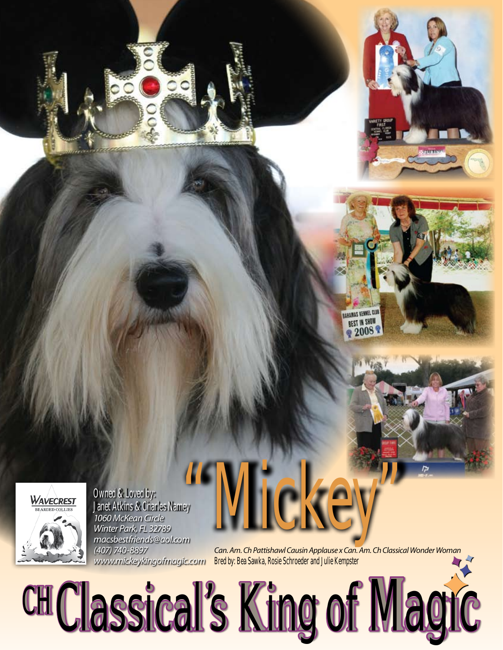

Owned & Loved by: Janet Atkins & Charles Namey *1060 McKean Circle Winter Park, FL 32789 macsbestfriends@aol.com (407) 740-8897 www.mickeykingofmagic.com* SS MOKEY

*Can. Am. Ch Pattishawl Causin Applause x Can. Am. Ch Classical Wonder Woman* Bred by: Bea Sawka, Rosie Schroeder and Julie Kempster

BAHAMAS KENNEL CLUB BEST IN SHOW

CH Classical's King of Magic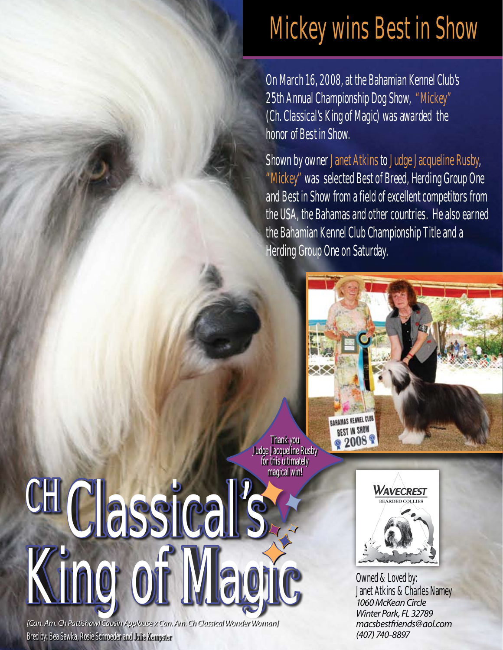## **Mckey wins Best in Show**

On March 16, 2008, at the Bahamian Kennel Club's 25th Annual Championship Dog Show, "Mickey" (Ch. Classical's King of Magic) was awarded the honor of Best in Show.

Shown by owner Janet Atkins to Judge Jacqueline Rusby, "Mickey" was selected Best of Breed, Herding Group One and Best in Show from a field of excellent competitors from the USA, the Bahamas and other countries. He also earned the Bahamian Kennel Club Championship Title and a Herding Group One on Saturday.



Thank you Judge Jacqueline Rusby for this ultimately magical win!



*[Can. Am. Ch Pattishawl Causin Applause x Can. Am. Ch Classical Wonder Woman]* Bred by: Bea Sawka, Rosie Schroeder and Julie Kempster



Janet Atkins & Charles Namey *1060 McKean Circle Winter Park, FL 32789 macsbestfriends@aol.com (407) 740-8897*